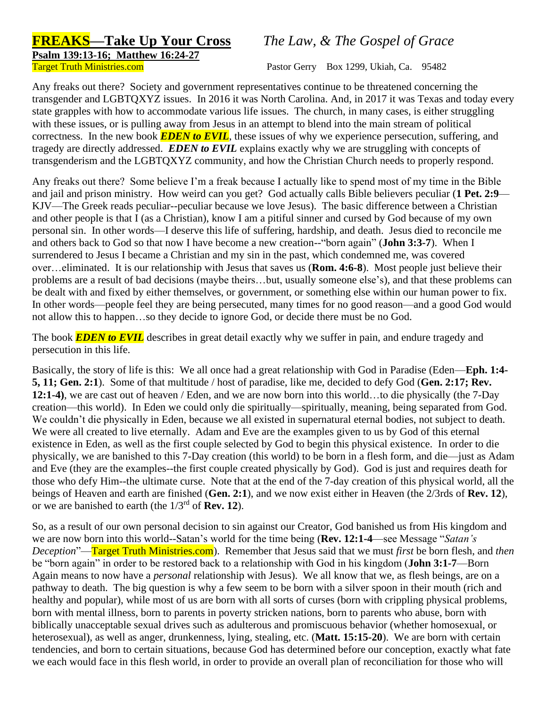## **FREAKS—Take Up Your Cross** *The Law, & The Gospel of Grace*

**Psalm 139:13-16; Matthew 16:24-27**

Target Truth Ministries.com Pastor Gerry Box 1299, Ukiah, Ca. 95482

Any freaks out there? Society and government representatives continue to be threatened concerning the transgender and LGBTQXYZ issues. In 2016 it was North Carolina. And, in 2017 it was Texas and today every state grapples with how to accommodate various life issues. The church, in many cases, is either struggling with these issues, or is pulling away from Jesus in an attempt to blend into the main stream of political correctness. In the new book *EDEN to EVIL*, these issues of why we experience persecution, suffering, and tragedy are directly addressed. *EDEN to EVIL* explains exactly why we are struggling with concepts of transgenderism and the LGBTQXYZ community, and how the Christian Church needs to properly respond.

Any freaks out there? Some believe I'm a freak because I actually like to spend most of my time in the Bible and jail and prison ministry. How weird can you get? God actually calls Bible believers peculiar (**1 Pet. 2:9**— KJV—The Greek reads peculiar--peculiar because we love Jesus). The basic difference between a Christian and other people is that I (as a Christian), know I am a pitiful sinner and cursed by God because of my own personal sin. In other words—I deserve this life of suffering, hardship, and death. Jesus died to reconcile me and others back to God so that now I have become a new creation--"born again" (**John 3:3-7**). When I surrendered to Jesus I became a Christian and my sin in the past, which condemned me, was covered over…eliminated. It is our relationship with Jesus that saves us (**Rom. 4:6-8**). Most people just believe their problems are a result of bad decisions (maybe theirs…but, usually someone else's), and that these problems can be dealt with and fixed by either themselves, or government, or something else within our human power to fix. In other words—people feel they are being persecuted, many times for no good reason—and a good God would not allow this to happen…so they decide to ignore God, or decide there must be no God.

The book *EDEN to EVIL* describes in great detail exactly why we suffer in pain, and endure tragedy and persecution in this life.

Basically, the story of life is this: We all once had a great relationship with God in Paradise (Eden—**Eph. 1:4- 5, 11; Gen. 2:1**). Some of that multitude / host of paradise, like me, decided to defy God (**Gen. 2:17; Rev. 12:1-4)**, we are cast out of heaven / Eden, and we are now born into this world…to die physically (the 7-Day creation—this world). In Eden we could only die spiritually—spiritually, meaning, being separated from God. We couldn't die physically in Eden, because we all existed in supernatural eternal bodies, not subject to death. We were all created to live eternally. Adam and Eve are the examples given to us by God of this eternal existence in Eden, as well as the first couple selected by God to begin this physical existence. In order to die physically, we are banished to this 7-Day creation (this world) to be born in a flesh form, and die—just as Adam and Eve (they are the examples--the first couple created physically by God). God is just and requires death for those who defy Him--the ultimate curse. Note that at the end of the 7-day creation of this physical world, all the beings of Heaven and earth are finished (**Gen. 2:1**), and we now exist either in Heaven (the 2/3rds of **Rev. 12**), or we are banished to earth (the 1/3rd of **Rev. 12**).

So, as a result of our own personal decision to sin against our Creator, God banished us from His kingdom and we are now born into this world--Satan's world for the time being (**Rev. 12:1-4**—see Message "*Satan's Deception*"—Target Truth Ministries.com). Remember that Jesus said that we must *first* be born flesh, and *then* be "born again" in order to be restored back to a relationship with God in his kingdom (**John 3:1-7**—Born Again means to now have a *personal* relationship with Jesus). We all know that we, as flesh beings, are on a pathway to death. The big question is why a few seem to be born with a silver spoon in their mouth (rich and healthy and popular), while most of us are born with all sorts of curses (born with crippling physical problems, born with mental illness, born to parents in poverty stricken nations, born to parents who abuse, born with biblically unacceptable sexual drives such as adulterous and promiscuous behavior (whether homosexual, or heterosexual), as well as anger, drunkenness, lying, stealing, etc. (**Matt. 15:15-20**). We are born with certain tendencies, and born to certain situations, because God has determined before our conception, exactly what fate we each would face in this flesh world, in order to provide an overall plan of reconciliation for those who will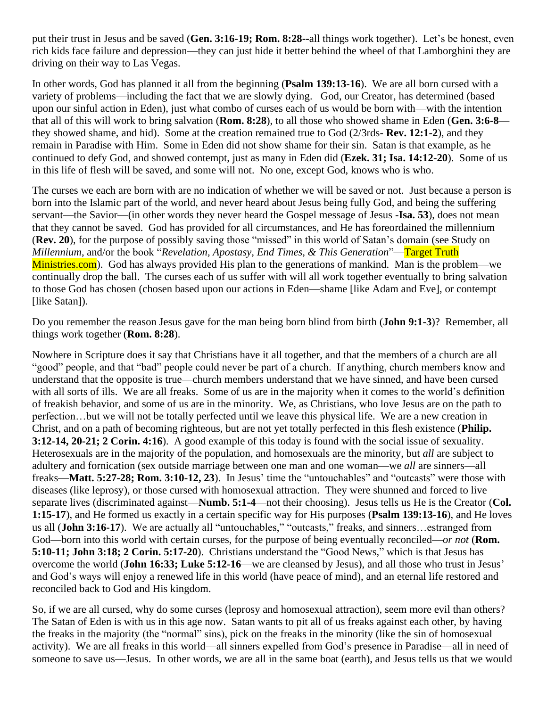put their trust in Jesus and be saved (**Gen. 3:16-19; Rom. 8:28--**all things work together). Let's be honest, even rich kids face failure and depression—they can just hide it better behind the wheel of that Lamborghini they are driving on their way to Las Vegas.

In other words, God has planned it all from the beginning (**Psalm 139:13-16**). We are all born cursed with a variety of problems—including the fact that we are slowly dying. God, our Creator, has determined (based upon our sinful action in Eden), just what combo of curses each of us would be born with—with the intention that all of this will work to bring salvation (**Rom. 8:28**), to all those who showed shame in Eden (**Gen. 3:6-8** they showed shame, and hid). Some at the creation remained true to God (2/3rds- **Rev. 12:1-2**), and they remain in Paradise with Him. Some in Eden did not show shame for their sin. Satan is that example, as he continued to defy God, and showed contempt, just as many in Eden did (**Ezek. 31; Isa. 14:12-20**). Some of us in this life of flesh will be saved, and some will not. No one, except God, knows who is who.

The curses we each are born with are no indication of whether we will be saved or not. Just because a person is born into the Islamic part of the world, and never heard about Jesus being fully God, and being the suffering servant—the Savior—(in other words they never heard the Gospel message of Jesus -**Isa. 53**), does not mean that they cannot be saved. God has provided for all circumstances, and He has foreordained the millennium (**Rev. 20**), for the purpose of possibly saving those "missed" in this world of Satan's domain (see Study on *Millennium*, and/or the book "*Revelation, Apostasy, End Times, & This Generation*"—Target Truth Ministries.com). God has always provided His plan to the generations of mankind. Man is the problem—we continually drop the ball. The curses each of us suffer with will all work together eventually to bring salvation to those God has chosen (chosen based upon our actions in Eden—shame [like Adam and Eve], or contempt [like Satan]).

Do you remember the reason Jesus gave for the man being born blind from birth (**John 9:1-3**)? Remember, all things work together (**Rom. 8:28**).

Nowhere in Scripture does it say that Christians have it all together, and that the members of a church are all "good" people, and that "bad" people could never be part of a church. If anything, church members know and understand that the opposite is true—church members understand that we have sinned, and have been cursed with all sorts of ills. We are all freaks. Some of us are in the majority when it comes to the world's definition of freakish behavior, and some of us are in the minority. We, as Christians, who love Jesus are on the path to perfection…but we will not be totally perfected until we leave this physical life. We are a new creation in Christ, and on a path of becoming righteous, but are not yet totally perfected in this flesh existence (**Philip. 3:12-14, 20-21; 2 Corin. 4:16**). A good example of this today is found with the social issue of sexuality. Heterosexuals are in the majority of the population, and homosexuals are the minority, but *all* are subject to adultery and fornication (sex outside marriage between one man and one woman—we *all* are sinners—all freaks—**Matt. 5:27-28; Rom. 3:10-12, 23**). In Jesus' time the "untouchables" and "outcasts" were those with diseases (like leprosy), or those cursed with homosexual attraction. They were shunned and forced to live separate lives (discriminated against—**Numb. 5:1-4**—not their choosing). Jesus tells us He is the Creator (**Col. 1:15-17**), and He formed us exactly in a certain specific way for His purposes (**Psalm 139:13-16**), and He loves us all (**John 3:16-17**). We are actually all "untouchables," "outcasts," freaks, and sinners…estranged from God—born into this world with certain curses, for the purpose of being eventually reconciled—*or not* (**Rom. 5:10-11; John 3:18; 2 Corin. 5:17-20**). Christians understand the "Good News," which is that Jesus has overcome the world (**John 16:33; Luke 5:12-16**—we are cleansed by Jesus), and all those who trust in Jesus' and God's ways will enjoy a renewed life in this world (have peace of mind), and an eternal life restored and reconciled back to God and His kingdom.

So, if we are all cursed, why do some curses (leprosy and homosexual attraction), seem more evil than others? The Satan of Eden is with us in this age now. Satan wants to pit all of us freaks against each other, by having the freaks in the majority (the "normal" sins), pick on the freaks in the minority (like the sin of homosexual activity). We are all freaks in this world—all sinners expelled from God's presence in Paradise—all in need of someone to save us—Jesus. In other words, we are all in the same boat (earth), and Jesus tells us that we would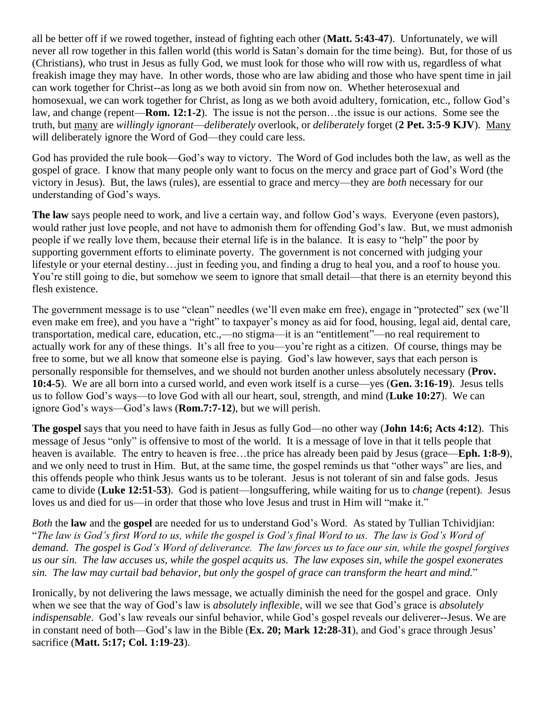all be better off if we rowed together, instead of fighting each other (**Matt. 5:43-47**). Unfortunately, we will never all row together in this fallen world (this world is Satan's domain for the time being). But, for those of us (Christians), who trust in Jesus as fully God, we must look for those who will row with us, regardless of what freakish image they may have. In other words, those who are law abiding and those who have spent time in jail can work together for Christ--as long as we both avoid sin from now on. Whether heterosexual and homosexual, we can work together for Christ, as long as we both avoid adultery, fornication, etc., follow God's law, and change (repent—**Rom. 12:1-2**). The issue is not the person…the issue is our actions. Some see the truth, but many are *willingly ignorant*—*deliberately* overlook, or *deliberately* forget (**2 Pet. 3:5-9 KJV**). Many will deliberately ignore the Word of God—they could care less.

God has provided the rule book—God's way to victory. The Word of God includes both the law, as well as the gospel of grace. I know that many people only want to focus on the mercy and grace part of God's Word (the victory in Jesus). But, the laws (rules), are essential to grace and mercy—they are *both* necessary for our understanding of God's ways.

**The law** says people need to work, and live a certain way, and follow God's ways. Everyone (even pastors), would rather just love people, and not have to admonish them for offending God's law. But, we must admonish people if we really love them, because their eternal life is in the balance. It is easy to "help" the poor by supporting government efforts to eliminate poverty. The government is not concerned with judging your lifestyle or your eternal destiny…just in feeding you, and finding a drug to heal you, and a roof to house you. You're still going to die, but somehow we seem to ignore that small detail—that there is an eternity beyond this flesh existence.

The government message is to use "clean" needles (we'll even make em free), engage in "protected" sex (we'll even make em free), and you have a "right" to taxpayer's money as aid for food, housing, legal aid, dental care, transportation, medical care, education, etc.,—no stigma—it is an "entitlement"—no real requirement to actually work for any of these things. It's all free to you—you're right as a citizen. Of course, things may be free to some, but we all know that someone else is paying. God's law however, says that each person is personally responsible for themselves, and we should not burden another unless absolutely necessary (**Prov. 10:4-5**). We are all born into a cursed world, and even work itself is a curse—yes (**Gen. 3:16-19**). Jesus tells us to follow God's ways—to love God with all our heart, soul, strength, and mind (**Luke 10:27**). We can ignore God's ways—God's laws (**Rom.7:7-12**), but we will perish.

**The gospel** says that you need to have faith in Jesus as fully God—no other way (**John 14:6; Acts 4:12**). This message of Jesus "only" is offensive to most of the world. It is a message of love in that it tells people that heaven is available. The entry to heaven is free…the price has already been paid by Jesus (grace—**Eph. 1:8-9**), and we only need to trust in Him. But, at the same time, the gospel reminds us that "other ways" are lies, and this offends people who think Jesus wants us to be tolerant. Jesus is not tolerant of sin and false gods. Jesus came to divide (**Luke 12:51-53**). God is patient—longsuffering, while waiting for us to *change* (repent). Jesus loves us and died for us—in order that those who love Jesus and trust in Him will "make it."

*Both* the **law** and the **gospel** are needed for us to understand God's Word. As stated by Tullian Tchividjian: "*The law is God's first Word to us, while the gospel is God's final Word to us. The law is God's Word of demand. The gospel is God's Word of deliverance. The law forces us to face our sin, while the gospel forgives us our sin. The law accuses us, while the gospel acquits us. The law exposes sin, while the gospel exonerates sin. The law may curtail bad behavior, but only the gospel of grace can transform the heart and mind.*"

Ironically, by not delivering the laws message, we actually diminish the need for the gospel and grace. Only when we see that the way of God's law is *absolutely inflexible*, will we see that God's grace is *absolutely indispensable*. God's law reveals our sinful behavior, while God's gospel reveals our deliverer--Jesus. We are in constant need of both—God's law in the Bible (**Ex. 20; Mark 12:28-31**), and God's grace through Jesus' sacrifice (**Matt. 5:17; Col. 1:19-23**).